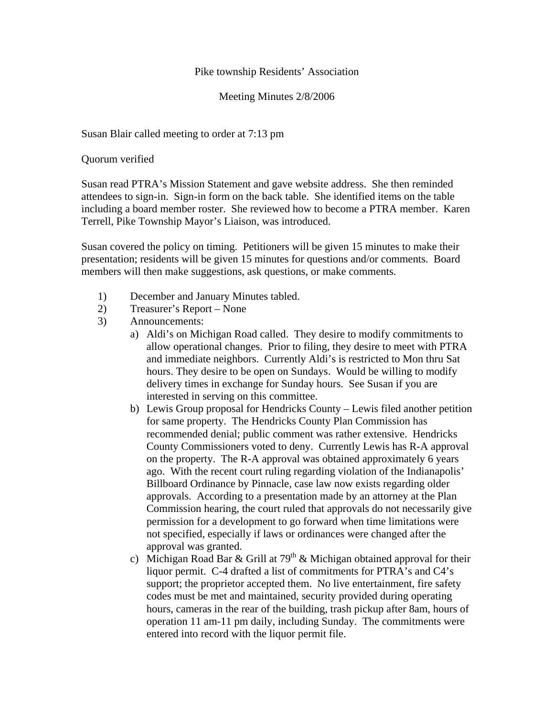## Pike township Residents' Association

Meeting Minutes 2/8/2006

Susan Blair called meeting to order at 7:13 pm

Quorum verified

Susan read PTRA's Mission Statement and gave website address. She then reminded attendees to sign-in. Sign-in form on the back table. She identified items on the table including a board member roster. She reviewed how to become a PTRA member. Karen Terrell, Pike Township Mayor's Liaison, was introduced.

Susan covered the policy on timing. Petitioners will be given 15 minutes to make their presentation; residents will be given 15 minutes for questions and/or comments. Board members will then make suggestions, ask questions, or make comments.

- 1) December and January Minutes tabled.
- 2) Treasurer's Report None
- 3) Announcements:
	- a) Aldi's on Michigan Road called. They desire to modify commitments to allow operational changes. Prior to filing, they desire to meet with PTRA and immediate neighbors. Currently Aldi's is restricted to Mon thru Sat hours. They desire to be open on Sundays. Would be willing to modify delivery times in exchange for Sunday hours. See Susan if you are interested in serving on this committee.
	- b) Lewis Group proposal for Hendricks County Lewis filed another petition for same property. The Hendricks County Plan Commission has recommended denial; public comment was rather extensive. Hendricks County Commissioners voted to deny. Currently Lewis has R-A approval on the property. The R-A approval was obtained approximately 6 years ago. With the recent court ruling regarding violation of the Indianapolis' Billboard Ordinance by Pinnacle, case law now exists regarding older approvals. According to a presentation made by an attorney at the Plan Commission hearing, the court ruled that approvals do not necessarily give permission for a development to go forward when time limitations were not specified, especially if laws or ordinances were changed after the approval was granted.
	- c) Michigan Road Bar & Grill at  $79<sup>th</sup>$  & Michigan obtained approval for their liquor permit. C-4 drafted a list of commitments for PTRA's and C4's support; the proprietor accepted them. No live entertainment, fire safety codes must be met and maintained, security provided during operating hours, cameras in the rear of the building, trash pickup after 8am, hours of operation 11 am-11 pm daily, including Sunday. The commitments were entered into record with the liquor permit file.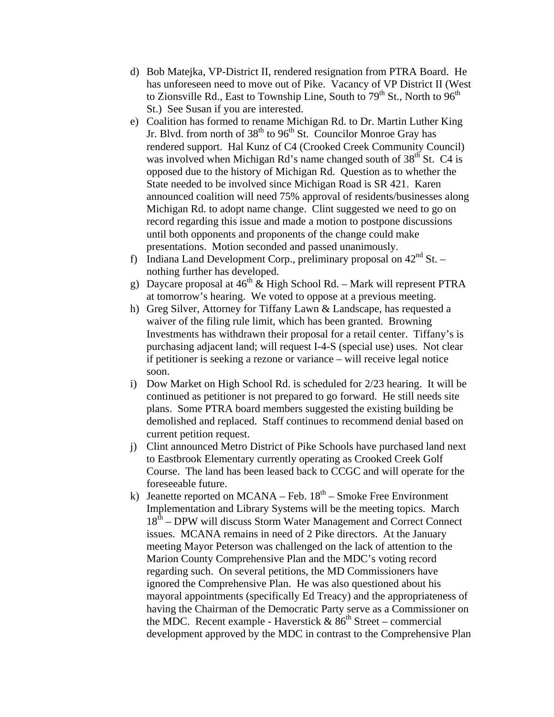- d) Bob Matejka, VP-District II, rendered resignation from PTRA Board. He has unforeseen need to move out of Pike. Vacancy of VP District II (West to Zionsville Rd., East to Township Line, South to  $79<sup>th</sup>$  St., North to  $96<sup>th</sup>$ St.) See Susan if you are interested.
- e) Coalition has formed to rename Michigan Rd. to Dr. Martin Luther King Jr. Blvd. from north of 38<sup>th</sup> to 96<sup>th</sup> St. Councilor Monroe Gray has rendered support. Hal Kunz of C4 (Crooked Creek Community Council) was involved when Michigan Rd's name changed south of  $38<sup>th</sup>$  St. C4 is opposed due to the history of Michigan Rd. Question as to whether the State needed to be involved since Michigan Road is SR 421. Karen announced coalition will need 75% approval of residents/businesses along Michigan Rd. to adopt name change. Clint suggested we need to go on record regarding this issue and made a motion to postpone discussions until both opponents and proponents of the change could make presentations. Motion seconded and passed unanimously.
- f) Indiana Land Development Corp., preliminary proposal on  $42<sup>nd</sup>$  St. nothing further has developed.
- g) Daycare proposal at  $46^{th}$  & High School Rd. Mark will represent PTRA at tomorrow's hearing. We voted to oppose at a previous meeting.
- h) Greg Silver, Attorney for Tiffany Lawn & Landscape, has requested a waiver of the filing rule limit, which has been granted. Browning Investments has withdrawn their proposal for a retail center. Tiffany's is purchasing adjacent land; will request I-4-S (special use) uses. Not clear if petitioner is seeking a rezone or variance – will receive legal notice soon.
- i) Dow Market on High School Rd. is scheduled for 2/23 hearing. It will be continued as petitioner is not prepared to go forward. He still needs site plans. Some PTRA board members suggested the existing building be demolished and replaced. Staff continues to recommend denial based on current petition request.
- j) Clint announced Metro District of Pike Schools have purchased land next to Eastbrook Elementary currently operating as Crooked Creek Golf Course. The land has been leased back to CCGC and will operate for the foreseeable future.
- k) Jeanette reported on MCANA Feb.  $18<sup>th</sup>$  Smoke Free Environment Implementation and Library Systems will be the meeting topics. March 18<sup>th</sup> – DPW will discuss Storm Water Management and Correct Connect issues. MCANA remains in need of 2 Pike directors. At the January meeting Mayor Peterson was challenged on the lack of attention to the Marion County Comprehensive Plan and the MDC's voting record regarding such. On several petitions, the MD Commissioners have ignored the Comprehensive Plan. He was also questioned about his mayoral appointments (specifically Ed Treacy) and the appropriateness of having the Chairman of the Democratic Party serve as a Commissioner on the MDC. Recent example - Haverstick  $& 86^{th}$  Street – commercial development approved by the MDC in contrast to the Comprehensive Plan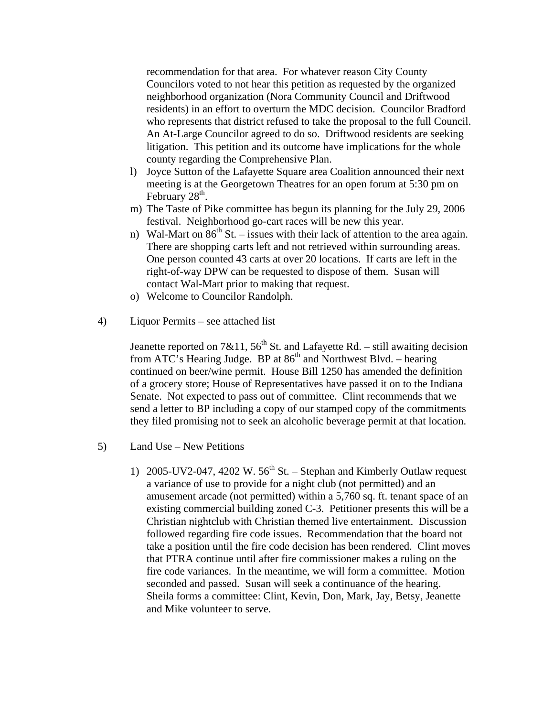recommendation for that area. For whatever reason City County Councilors voted to not hear this petition as requested by the organized neighborhood organization (Nora Community Council and Driftwood residents) in an effort to overturn the MDC decision. Councilor Bradford who represents that district refused to take the proposal to the full Council. An At-Large Councilor agreed to do so. Driftwood residents are seeking litigation. This petition and its outcome have implications for the whole county regarding the Comprehensive Plan.

- l) Joyce Sutton of the Lafayette Square area Coalition announced their next meeting is at the Georgetown Theatres for an open forum at 5:30 pm on February  $28<sup>th</sup>$ .
- m) The Taste of Pike committee has begun its planning for the July 29, 2006 festival. Neighborhood go-cart races will be new this year.
- n) Wal-Mart on  $86<sup>th</sup>$  St. issues with their lack of attention to the area again. There are shopping carts left and not retrieved within surrounding areas. One person counted 43 carts at over 20 locations. If carts are left in the right-of-way DPW can be requested to dispose of them. Susan will contact Wal-Mart prior to making that request.
- o) Welcome to Councilor Randolph.
- 4) Liquor Permits see attached list

Jeanette reported on 7&11,  $56<sup>th</sup>$  St. and Lafayette Rd. – still awaiting decision from ATC's Hearing Judge. BP at  $86<sup>th</sup>$  and Northwest Blvd. – hearing continued on beer/wine permit. House Bill 1250 has amended the definition of a grocery store; House of Representatives have passed it on to the Indiana Senate. Not expected to pass out of committee. Clint recommends that we send a letter to BP including a copy of our stamped copy of the commitments they filed promising not to seek an alcoholic beverage permit at that location.

- 5) Land Use New Petitions
	- 1) 2005-UV2-047, 4202 W.  $56<sup>th</sup>$  St. Stephan and Kimberly Outlaw request a variance of use to provide for a night club (not permitted) and an amusement arcade (not permitted) within a 5,760 sq. ft. tenant space of an existing commercial building zoned C-3. Petitioner presents this will be a Christian nightclub with Christian themed live entertainment. Discussion followed regarding fire code issues. Recommendation that the board not take a position until the fire code decision has been rendered. Clint moves that PTRA continue until after fire commissioner makes a ruling on the fire code variances. In the meantime, we will form a committee. Motion seconded and passed. Susan will seek a continuance of the hearing. Sheila forms a committee: Clint, Kevin, Don, Mark, Jay, Betsy, Jeanette and Mike volunteer to serve.